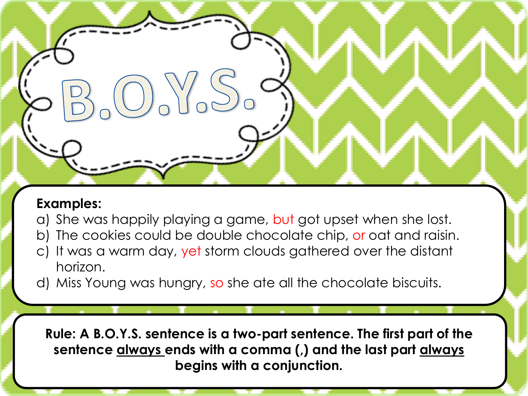- a) She was happily playing a game, but got upset when she lost.
- b) The cookies could be double chocolate chip, or oat and raisin.
- c) It was a warm day, yet storm clouds gathered over the distant horizon.
- d) Miss Young was hungry, so she ate all the chocolate biscuits.

**Rule: A B.O.Y.S. sentence is a two-part sentence. The first part of the sentence always ends with a comma (,) and the last part always begins with a conjunction.**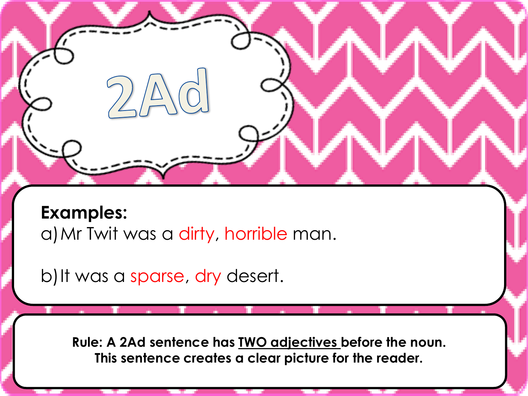**Examples:** a) Mr Twit was a dirty, horrible man.

b) It was a sparse, dry desert.

**Rule: A 2Ad sentence has TWO adjectives before the noun. This sentence creates a clear picture for the reader.**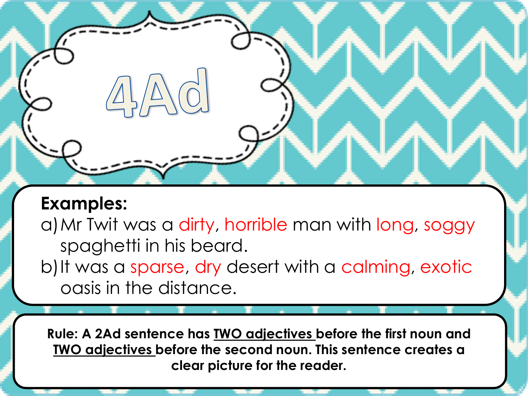a)Mr Twit was a dirty, horrible man with long, soggy spaghetti in his beard.

b) It was a sparse, dry desert with a calming, exotic oasis in the distance.

**Rule: A 2Ad sentence has TWO adjectives before the first noun and TWO adjectives before the second noun. This sentence creates a clear picture for the reader.**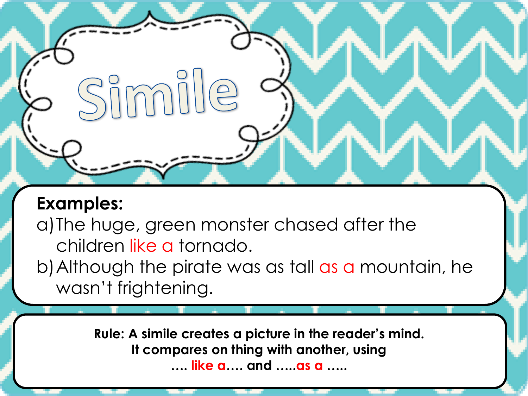a)The huge, green monster chased after the children like a tornado.

Simille

b)Although the pirate was as tall as a mountain, he wasn't frightening.

> **Rule: A simile creates a picture in the reader's mind. It compares on thing with another, using …. like a…. and …..as a …..**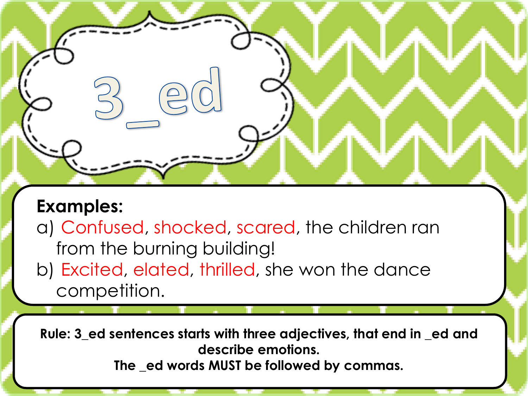a) Confused, shocked, scared, the children ran from the burning building!

b) Excited, elated, thrilled, she won the dance competition.

**Rule: 3\_ed sentences starts with three adjectives, that end in \_ed and describe emotions.** 

**The \_ed words MUST be followed by commas.**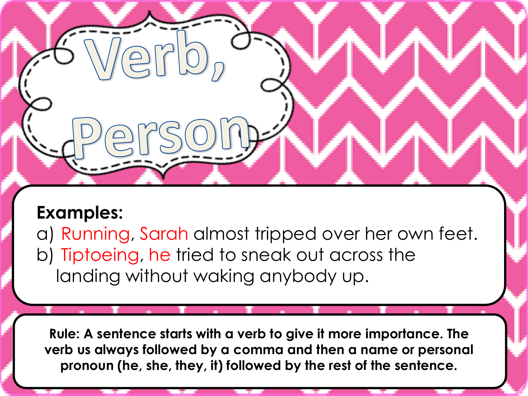a) Running, Sarah almost tripped over her own feet. b) Tiptoeing, he tried to sneak out across the landing without waking anybody up.

**Rule: A sentence starts with a verb to give it more importance. The verb us always followed by a comma and then a name or personal pronoun (he, she, they, it) followed by the rest of the sentence.**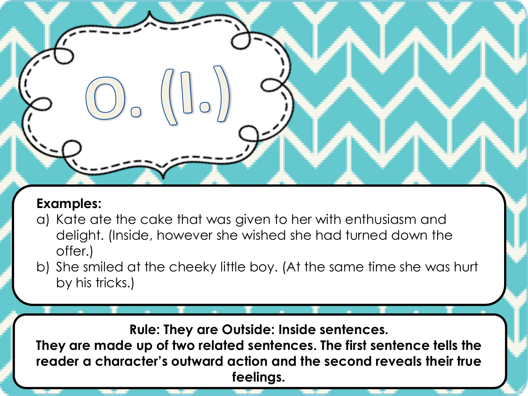- a) Kate ate the cake that was given to her with enthusiasm and delight. (Inside, however she wished she had turned down the offer.)
- b) She smiled at the cheeky little boy. (At the same time she was hurt by his tricks.)

**Rule: They are Outside: Inside sentences.** 

**They are made up of two related sentences. The first sentence tells the reader a character's outward action and the second reveals their true feelings.**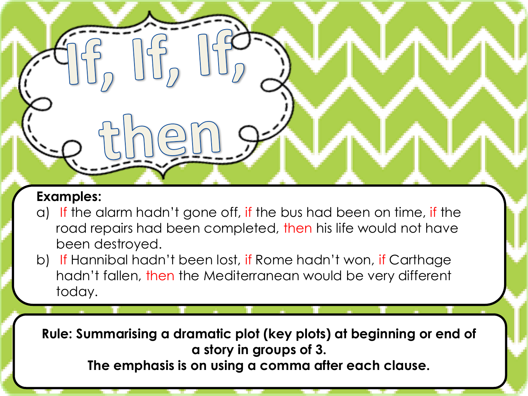- a) If the alarm hadn't gone off, if the bus had been on time, if the road repairs had been completed, then his life would not have been destroyed.
- b) If Hannibal hadn't been lost, if Rome hadn't won, if Carthage hadn't fallen, then the Mediterranean would be very different today.

**Rule: Summarising a dramatic plot (key plots) at beginning or end of a story in groups of 3.** 

**The emphasis is on using a comma after each clause.**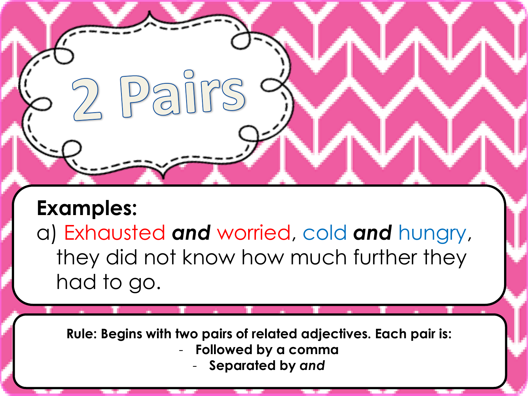a) Exhausted *and* worried, cold *and* hungry, they did not know how much further they had to go.

Dairs

**Rule: Begins with two pairs of related adjectives. Each pair is:** - **Followed by a comma** - **Separated by** *and*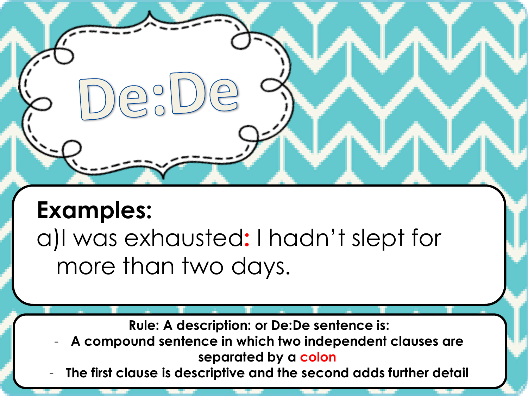$\bigcirc$ 

a)I was exhausted**:** I hadn't slept for more than two days.

**Rule: A description: or De:De sentence is:**

- **A compound sentence in which two independent clauses are separated by a colon**
- **The first clause is descriptive and the second adds further detail**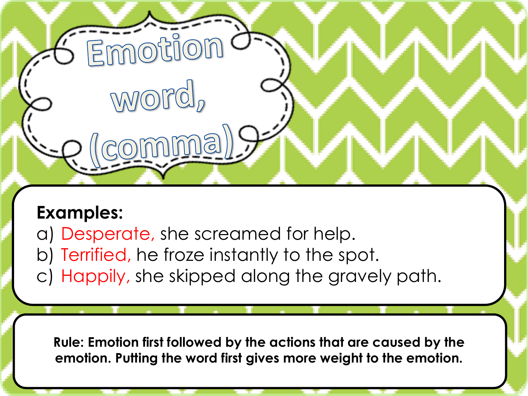a) Desperate, she screamed for help.

Emotior

word,

omma

- b) Terrified, he froze instantly to the spot.
- c) Happily, she skipped along the gravely path.

**Rule: Emotion first followed by the actions that are caused by the emotion. Putting the word first gives more weight to the emotion.**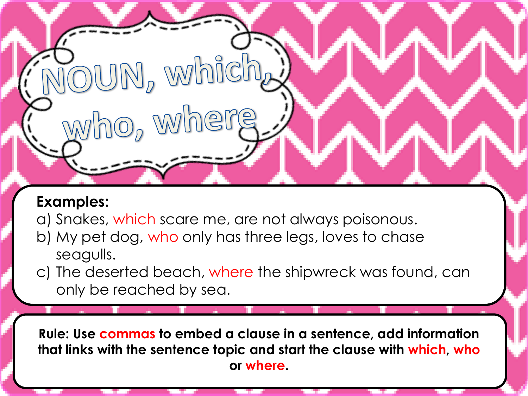a) Snakes, which scare me, are not always poisonous.

 $\overline{\text{O}}$ UN, which

who, where

- b) My pet dog, who only has three legs, loves to chase seagulls.
- c) The deserted beach, where the shipwreck was found, can only be reached by sea.

**Rule: Use commas to embed a clause in a sentence, add information that links with the sentence topic and start the clause with which, who or where.**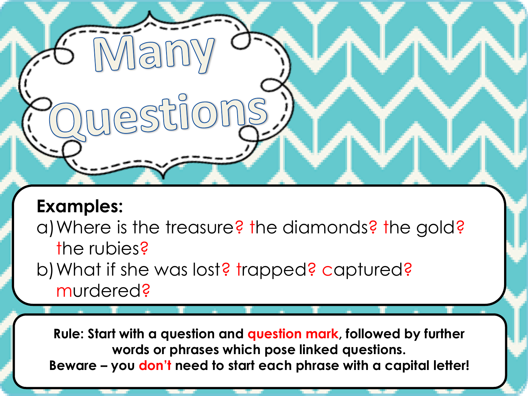**Man** 

**INESTIIO** 

a) Where is the treasure? the diamonds? the gold? the rubies?

b) What if she was lost? trapped? captured? murdered?

**Rule: Start with a question and question mark, followed by further words or phrases which pose linked questions. Beware – you don't need to start each phrase with a capital letter!**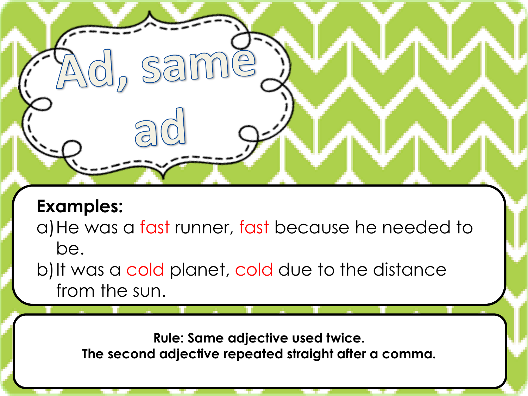$\bigcirc$ 

a) He was a fast runner, fast because he needed to be.

b) It was a cold planet, cold due to the distance from the sun.

same

**Rule: Same adjective used twice. The second adjective repeated straight after a comma.**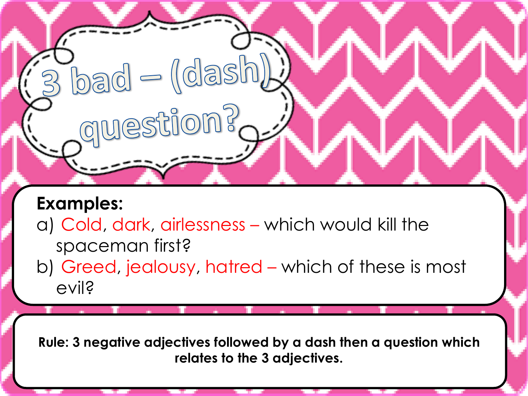a) Cold, dark, airlessness – which would kill the spaceman first?

 $\Gamma_{\text{bad}}=\text{(dash)}$ 

dnestions<sup>S</sup>

b) Greed, jealousy, hatred – which of these is most evil?

**Rule: 3 negative adjectives followed by a dash then a question which relates to the 3 adjectives.**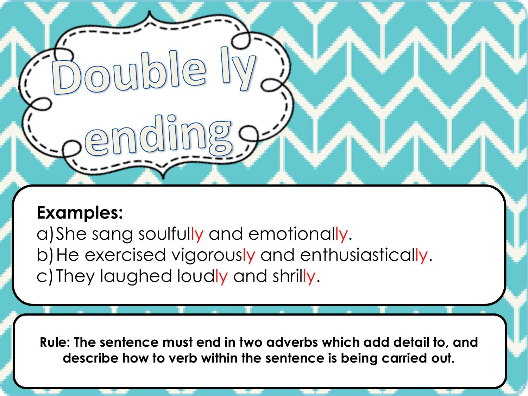$||\phi||_0$ 

a) She sang soulfully and emotionally. b) He exercised vigorously and enthusiastically. c)They laughed loudly and shrilly.

**Rule: The sentence must end in two adverbs which add detail to, and describe how to verb within the sentence is being carried out.**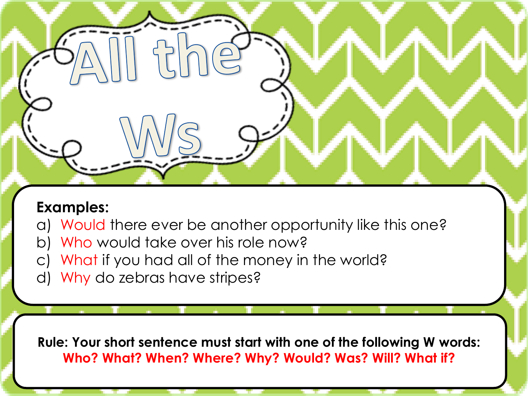- a) Would there ever be another opportunity like this one?
- b) Who would take over his role now?
- c) What if you had all of the money in the world?
- d) Why do zebras have stripes?

**Rule: Your short sentence must start with one of the following W words: Who? What? When? Where? Why? Would? Was? Will? What if?**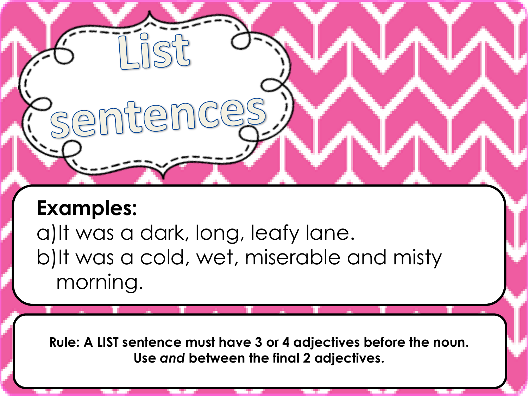sentenc

a)It was a dark, long, leafy lane. b)It was a cold, wet, miserable and misty morning.

**Rule: A LIST sentence must have 3 or 4 adjectives before the noun. Use** *and* **between the final 2 adjectives.**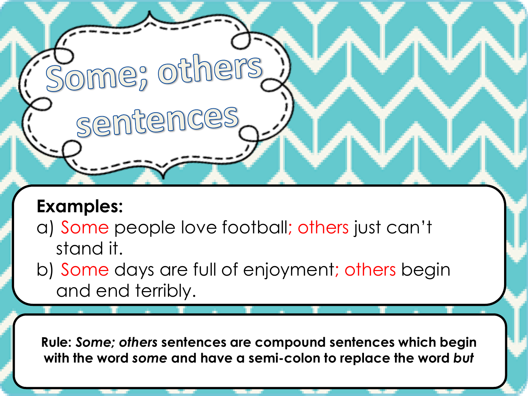a) Some people love football; others just can't stand it.

**Pome**; others

sentence

b) Some days are full of enjoyment; others begin and end terribly.

**Rule:** *Some; others* **sentences are compound sentences which begin with the word** *some* **and have a semi-colon to replace the word** *but*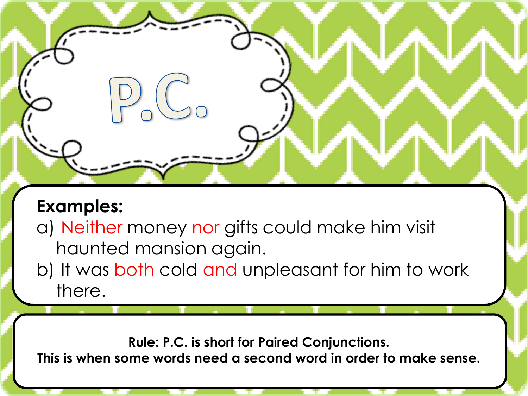a) Neither money nor gifts could make him visit haunted mansion again.

b) It was both cold and unpleasant for him to work there.

**Rule: P.C. is short for Paired Conjunctions. This is when some words need a second word in order to make sense.**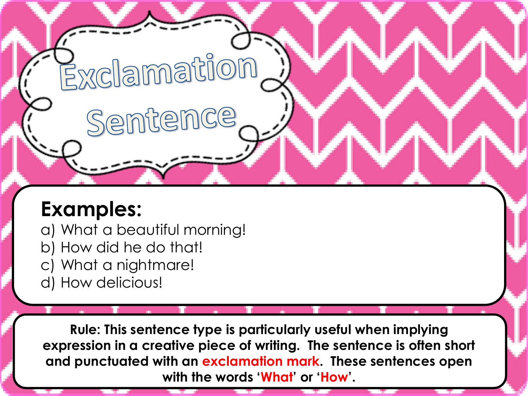a) What a beautiful morning!

Exclamation

Sentence

- b) How did he do that!
- c) What a nightmare!
- d) How delicious!

**Rule: This sentence type is particularly useful when implying expression in a creative piece of writing. The sentence is often short and punctuated with an exclamation mark. These sentences open with the words 'What' or 'How'.**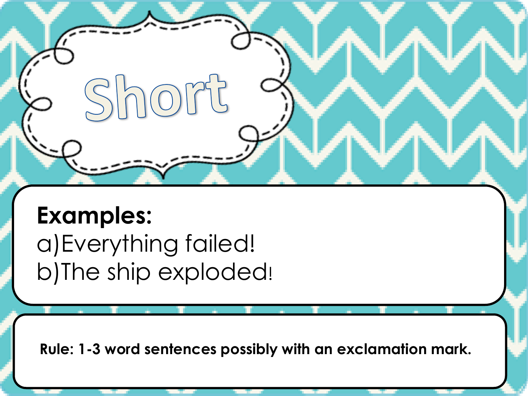**Examples:** a)Everything failed!

b)The ship exploded!

 $h \cap \overline{O}$ 

**Rule: 1-3 word sentences possibly with an exclamation mark.**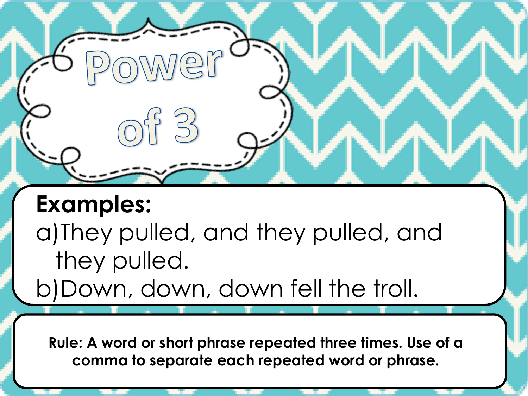a)They pulled, and they pulled, and they pulled.

b)Down, down, down fell the troll.

**Rule: A word or short phrase repeated three times. Use of a comma to separate each repeated word or phrase.**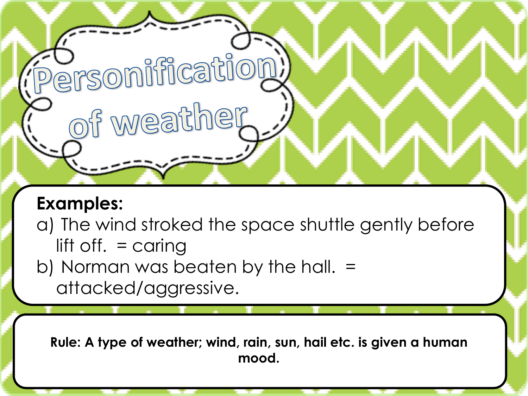a) The wind stroked the space shuttle gently before lift off. = caring

b) Norman was beaten by the hall. = attacked/aggressive.

**D**<br>Persomification

of weather

**Rule: A type of weather; wind, rain, sun, hail etc. is given a human mood.**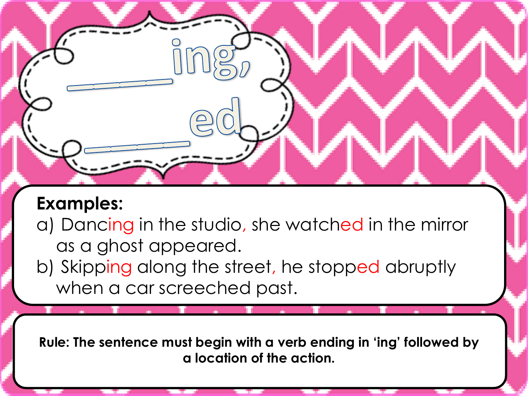- a) Dancing in the studio, she watched in the mirror as a ghost appeared.
- b) Skipping along the street, he stopped abruptly when a car screeched past.

**Rule: The sentence must begin with a verb ending in 'ing' followed by a location of the action.**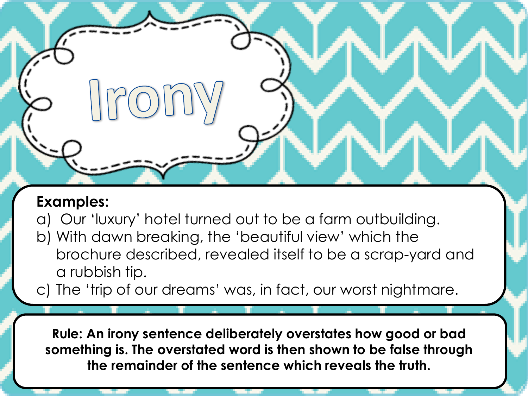$P(0)$ 

a) Our 'luxury' hotel turned out to be a farm outbuilding.

- b) With dawn breaking, the 'beautiful view' which the brochure described, revealed itself to be a scrap-yard and a rubbish tip.
- c) The 'trip of our dreams' was, in fact, our worst nightmare.

**Rule: An irony sentence deliberately overstates how good or bad something is. The overstated word is then shown to be false through the remainder of the sentence which reveals the truth.**